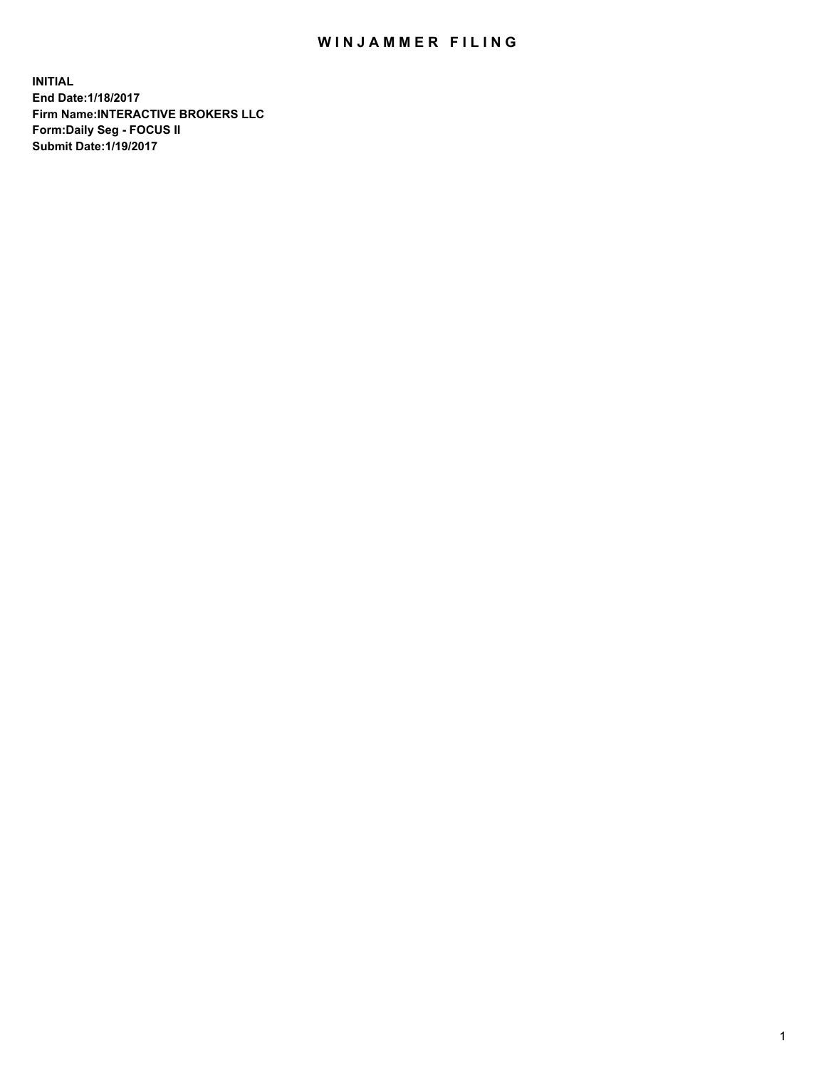## WIN JAMMER FILING

**INITIAL End Date:1/18/2017 Firm Name:INTERACTIVE BROKERS LLC Form:Daily Seg - FOCUS II Submit Date:1/19/2017**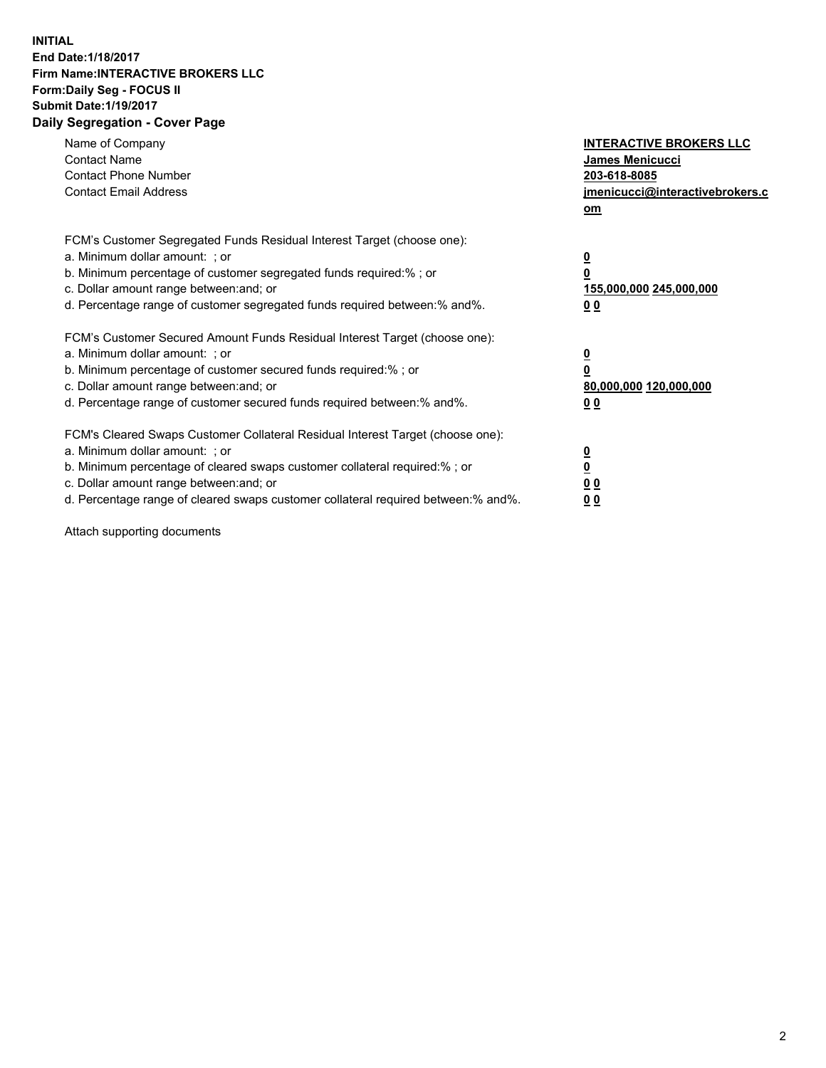## **INITIAL End Date:1/18/2017 Firm Name:INTERACTIVE BROKERS LLC Form:Daily Seg - FOCUS II Submit Date:1/19/2017 Daily Segregation - Cover Page**

| Name of Company<br><b>Contact Name</b><br><b>Contact Phone Number</b><br><b>Contact Email Address</b>                                                                                                                                                                                                                          | <b>INTERACTIVE BROKERS LLC</b><br>James Menicucci<br>203-618-8085<br>jmenicucci@interactivebrokers.c<br>om |
|--------------------------------------------------------------------------------------------------------------------------------------------------------------------------------------------------------------------------------------------------------------------------------------------------------------------------------|------------------------------------------------------------------------------------------------------------|
| FCM's Customer Segregated Funds Residual Interest Target (choose one):<br>a. Minimum dollar amount: ; or<br>b. Minimum percentage of customer segregated funds required:%; or<br>c. Dollar amount range between: and; or<br>d. Percentage range of customer segregated funds required between:% and%.                          | $\overline{\mathbf{0}}$<br>0<br>155,000,000 245,000,000<br>0 <sub>0</sub>                                  |
| FCM's Customer Secured Amount Funds Residual Interest Target (choose one):<br>a. Minimum dollar amount: ; or<br>b. Minimum percentage of customer secured funds required:%; or<br>c. Dollar amount range between: and; or<br>d. Percentage range of customer secured funds required between:% and%.                            | $\overline{\mathbf{0}}$<br>$\overline{\mathbf{0}}$<br>80,000,000 120,000,000<br>00                         |
| FCM's Cleared Swaps Customer Collateral Residual Interest Target (choose one):<br>a. Minimum dollar amount: ; or<br>b. Minimum percentage of cleared swaps customer collateral required:% ; or<br>c. Dollar amount range between: and; or<br>d. Percentage range of cleared swaps customer collateral required between:% and%. | $\overline{\mathbf{0}}$<br>$\overline{\mathbf{0}}$<br>0 <sub>0</sub><br><u>00</u>                          |

Attach supporting documents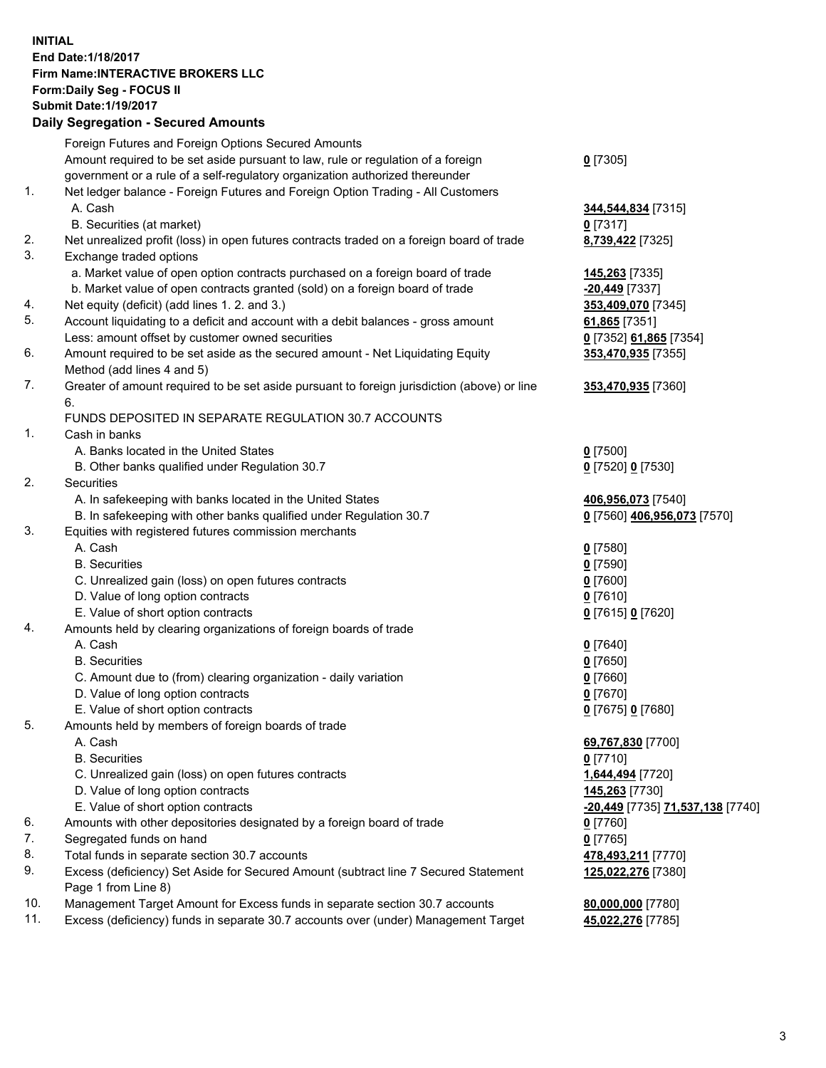## **INITIAL End Date:1/18/2017 Firm Name:INTERACTIVE BROKERS LLC Form:Daily Seg - FOCUS II Submit Date:1/19/2017**

|     | <b>Daily Segregation - Secured Amounts</b>                                                  |                                                      |
|-----|---------------------------------------------------------------------------------------------|------------------------------------------------------|
|     | Foreign Futures and Foreign Options Secured Amounts                                         |                                                      |
|     | Amount required to be set aside pursuant to law, rule or regulation of a foreign            | $0$ [7305]                                           |
|     | government or a rule of a self-regulatory organization authorized thereunder                |                                                      |
| 1.  | Net ledger balance - Foreign Futures and Foreign Option Trading - All Customers             |                                                      |
|     | A. Cash                                                                                     | 344,544,834 [7315]                                   |
|     | B. Securities (at market)                                                                   | $0$ [7317]                                           |
| 2.  | Net unrealized profit (loss) in open futures contracts traded on a foreign board of trade   | 8,739,422 [7325]                                     |
| 3.  | Exchange traded options                                                                     |                                                      |
|     | a. Market value of open option contracts purchased on a foreign board of trade              | 145,263 [7335]                                       |
|     | b. Market value of open contracts granted (sold) on a foreign board of trade                | -20,449 [7337]                                       |
| 4.  | Net equity (deficit) (add lines 1.2. and 3.)                                                | 353,409,070 [7345]                                   |
| 5.  | Account liquidating to a deficit and account with a debit balances - gross amount           | 61,865 [7351]                                        |
|     | Less: amount offset by customer owned securities                                            | 0 [7352] 61,865 [7354]                               |
| 6.  | Amount required to be set aside as the secured amount - Net Liquidating Equity              | 353,470,935 [7355]                                   |
|     | Method (add lines 4 and 5)                                                                  |                                                      |
| 7.  | Greater of amount required to be set aside pursuant to foreign jurisdiction (above) or line | 353,470,935 [7360]                                   |
|     | 6.                                                                                          |                                                      |
|     | FUNDS DEPOSITED IN SEPARATE REGULATION 30.7 ACCOUNTS                                        |                                                      |
| 1.  | Cash in banks                                                                               |                                                      |
|     | A. Banks located in the United States                                                       | $0$ [7500]                                           |
|     | B. Other banks qualified under Regulation 30.7                                              | 0 [7520] 0 [7530]                                    |
| 2.  | Securities                                                                                  |                                                      |
|     | A. In safekeeping with banks located in the United States                                   | 406,956,073 [7540]                                   |
|     | B. In safekeeping with other banks qualified under Regulation 30.7                          | 0 [7560] 406,956,073 [7570]                          |
| 3.  | Equities with registered futures commission merchants                                       |                                                      |
|     | A. Cash                                                                                     | $0$ [7580]                                           |
|     | <b>B.</b> Securities                                                                        | $0$ [7590]                                           |
|     | C. Unrealized gain (loss) on open futures contracts                                         | <u>0</u> [7600]                                      |
|     | D. Value of long option contracts                                                           | $0$ [7610]                                           |
| 4.  | E. Value of short option contracts                                                          | 0 [7615] 0 [7620]                                    |
|     | Amounts held by clearing organizations of foreign boards of trade<br>A. Cash                |                                                      |
|     | <b>B.</b> Securities                                                                        | $0$ [7640]<br>$0$ [7650]                             |
|     | C. Amount due to (from) clearing organization - daily variation                             | $0$ [7660]                                           |
|     | D. Value of long option contracts                                                           | <u>0</u> [7670]                                      |
|     | E. Value of short option contracts                                                          | 0 [7675] 0 [7680]                                    |
| 5.  | Amounts held by members of foreign boards of trade                                          |                                                      |
|     | A. Cash                                                                                     | 69,767,830 [7700]                                    |
|     | <b>B.</b> Securities                                                                        | $0$ [7710]                                           |
|     | C. Unrealized gain (loss) on open futures contracts                                         | 1,644,494 [7720]                                     |
|     | D. Value of long option contracts                                                           | 145,263 [7730]                                       |
|     | E. Value of short option contracts                                                          | <mark>-20,449</mark> [7735] <b>71,537,138</b> [7740] |
| 6.  | Amounts with other depositories designated by a foreign board of trade                      | 0 [7760]                                             |
| 7.  | Segregated funds on hand                                                                    | $0$ [7765]                                           |
| 8.  | Total funds in separate section 30.7 accounts                                               | 478,493,211 [7770]                                   |
| 9.  | Excess (deficiency) Set Aside for Secured Amount (subtract line 7 Secured Statement         | 125,022,276 [7380]                                   |
|     | Page 1 from Line 8)                                                                         |                                                      |
| 10. | Management Target Amount for Excess funds in separate section 30.7 accounts                 | 80,000,000 [7780]                                    |
| 11. | Excess (deficiency) funds in separate 30.7 accounts over (under) Management Target          | 45,022,276 [7785]                                    |
|     |                                                                                             |                                                      |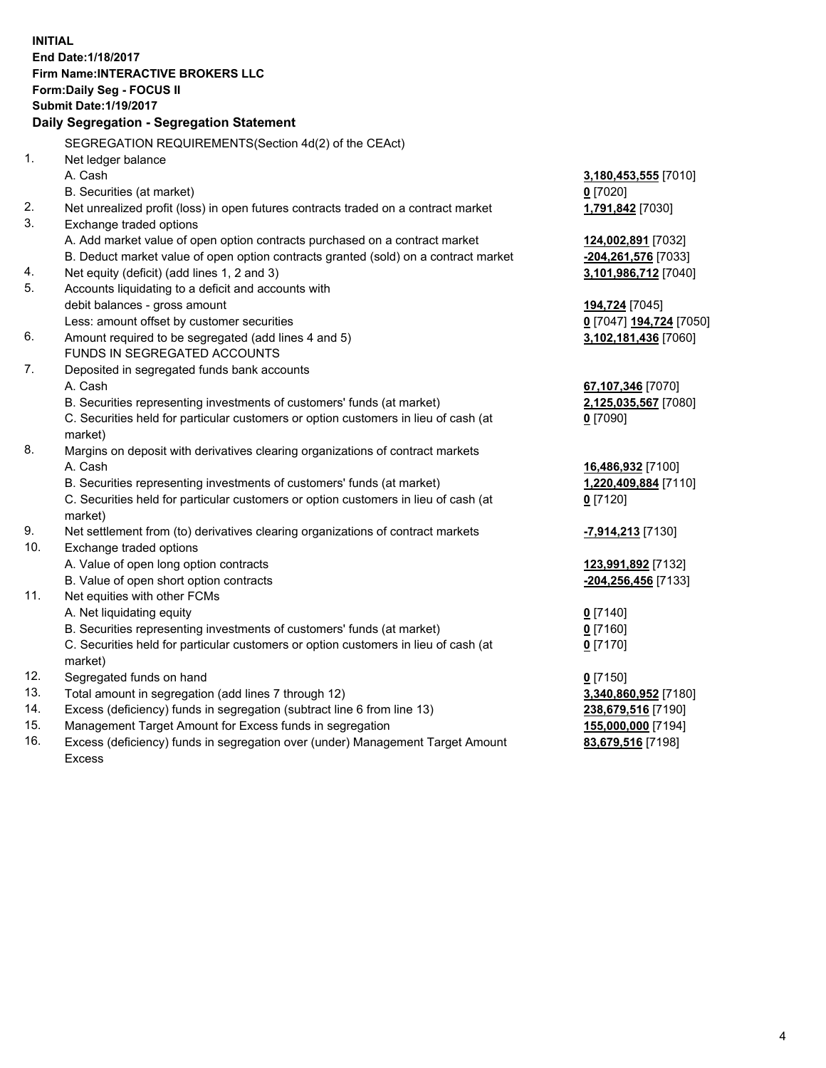**INITIAL End Date:1/18/2017 Firm Name:INTERACTIVE BROKERS LLC Form:Daily Seg - FOCUS II Submit Date:1/19/2017 Daily Segregation - Segregation Statement** SEGREGATION REQUIREMENTS(Section 4d(2) of the CEAct) 1. Net ledger balance A. Cash **3,180,453,555** [7010] B. Securities (at market) **0** [7020] 2. Net unrealized profit (loss) in open futures contracts traded on a contract market **1,791,842** [7030] 3. Exchange traded options A. Add market value of open option contracts purchased on a contract market **124,002,891** [7032] B. Deduct market value of open option contracts granted (sold) on a contract market **-204,261,576** [7033] 4. Net equity (deficit) (add lines 1, 2 and 3) **3,101,986,712** [7040] 5. Accounts liquidating to a deficit and accounts with debit balances - gross amount **194,724** [7045] Less: amount offset by customer securities **0** [7047] **194,724** [7050] 6. Amount required to be segregated (add lines 4 and 5) **3,102,181,436** [7060] FUNDS IN SEGREGATED ACCOUNTS 7. Deposited in segregated funds bank accounts A. Cash **67,107,346** [7070] B. Securities representing investments of customers' funds (at market) **2,125,035,567** [7080] C. Securities held for particular customers or option customers in lieu of cash (at market) **0** [7090] 8. Margins on deposit with derivatives clearing organizations of contract markets A. Cash **16,486,932** [7100] B. Securities representing investments of customers' funds (at market) **1,220,409,884** [7110] C. Securities held for particular customers or option customers in lieu of cash (at market) **0** [7120] 9. Net settlement from (to) derivatives clearing organizations of contract markets **-7,914,213** [7130] 10. Exchange traded options A. Value of open long option contracts **123,991,892** [7132] B. Value of open short option contracts **-204,256,456** [7133] 11. Net equities with other FCMs A. Net liquidating equity **0** [7140] B. Securities representing investments of customers' funds (at market) **0** [7160] C. Securities held for particular customers or option customers in lieu of cash (at market) **0** [7170] 12. Segregated funds on hand **0** [7150] 13. Total amount in segregation (add lines 7 through 12) **3,340,860,952** [7180] 14. Excess (deficiency) funds in segregation (subtract line 6 from line 13) **238,679,516** [7190] 15. Management Target Amount for Excess funds in segregation **155,000,000** [7194]

16. Excess (deficiency) funds in segregation over (under) Management Target Amount Excess

**83,679,516** [7198]